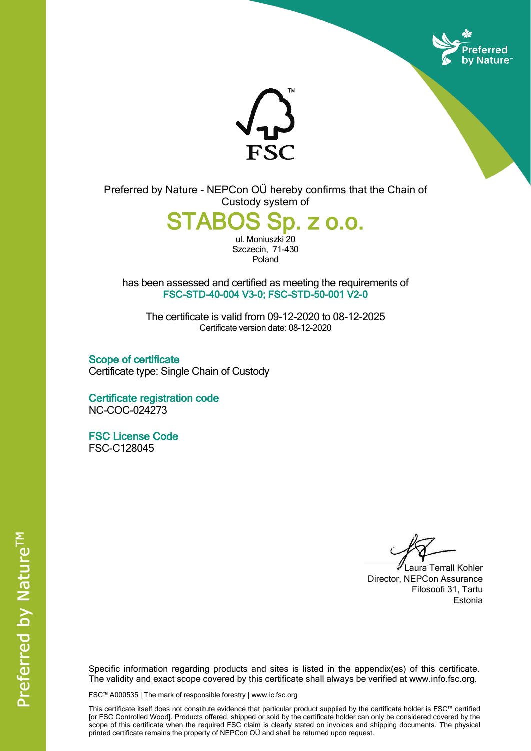



Preferred by Nature - NEPCon OÜ hereby confirms that the Chain of Custody system of

STABOS Sp. z o.o.

ul. Moniuszki 20 Szczecin, 71-430 Poland

has been assessed and certified as meeting the requirements of FSC-STD-40-004 V3-0; FSC-STD-50-001 V2-0

The certificate is valid from 09-12-2020 to 08-12-2025 Certificate version date: 08-12-2020

Scope of certificate Certificate type: Single Chain of Custody

Certificate registration code NC-COC-024273

FSC License Code FSC-C128045

Laura Terrall Kohler Director, NEPCon Assurance Filosoofi 31, Tartu Estonia

Specific information regarding products and sites is listed in the appendix(es) of this certificate. The validity and exact scope covered by this certificate shall always be verified at www.info.fsc.org.

FSC™ A000535 | The mark of responsible forestry | www.ic.fsc.org

This certificate itself does not constitute evidence that particular product supplied by the certificate holder is FSC™ certified [or FSC Controlled Wood]. Products offered, shipped or sold by the certificate holder can only be considered covered by the scope of this certificate when the required FSC claim is clearly stated on invoices and shipping documents. The physical printed certificate remains the property of NEPCon OÜ and shall be returned upon request.